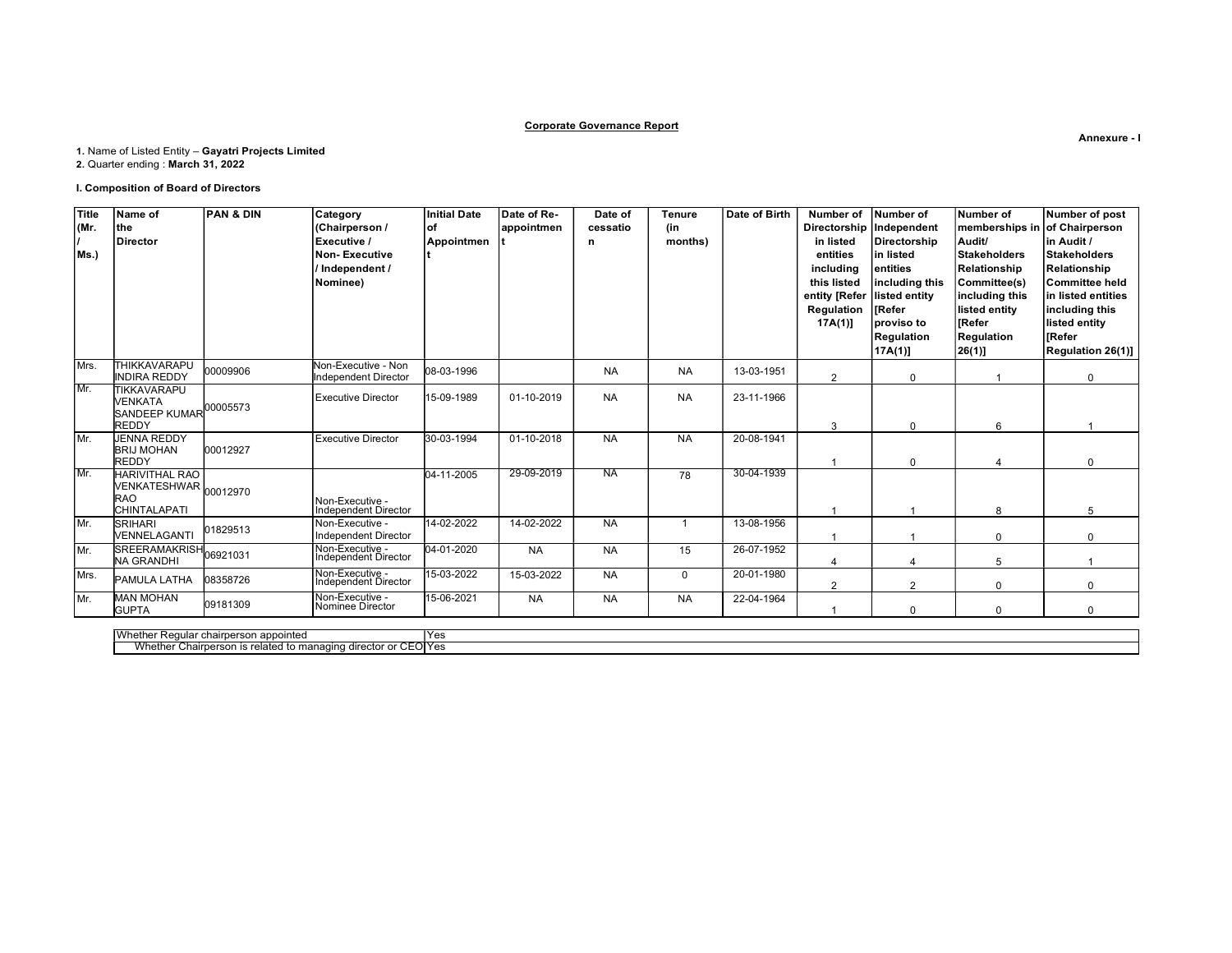### Corporate Governance Report

# 1. Name of Listed Entity – Gayatri Projects Limited

2. Quarter ending : March 31, 2022

### I. Composition of Board of Directors

| <b>Title</b> | Name of                                                | <b>PAN &amp; DIN</b> | Category                                       | <b>Initial Date</b> | Date of Re- | Date of   | <b>Tenure</b>  | Date of Birth | Number of                     | Number of                  | Number of                     | Number of post     |
|--------------|--------------------------------------------------------|----------------------|------------------------------------------------|---------------------|-------------|-----------|----------------|---------------|-------------------------------|----------------------------|-------------------------------|--------------------|
| (Mr.         | the                                                    |                      | (Chairperson /                                 | lof                 | appointmen  | cessatio  | (in            |               |                               | Directorship   Independent | memberships in of Chairperson |                    |
|              | Director                                               |                      | Executive /                                    | Appointmen          |             | n         | months)        |               | in listed                     | Directorship               | Audit/                        | in Audit /         |
| Ms.)         |                                                        |                      | <b>Non-Executive</b>                           |                     |             |           |                |               | entities                      | lin listed                 | Stakeholders                  | Stakeholders       |
|              |                                                        |                      | Independent /                                  |                     |             |           |                |               | including                     | lentities                  | Relationship                  | Relationship       |
|              |                                                        |                      | Nominee)                                       |                     |             |           |                |               | this listed                   | including this             | Committee(s)                  | Committee held     |
|              |                                                        |                      |                                                |                     |             |           |                |               | entity [Refer   listed entity |                            | including this                | in listed entities |
|              |                                                        |                      |                                                |                     |             |           |                |               | Regulation                    | <b>IRefer</b>              | listed entity                 | including this     |
|              |                                                        |                      |                                                |                     |             |           |                |               | $17A(1)$ ]                    | Iproviso to                | <b>IRefer</b>                 | listed entity      |
|              |                                                        |                      |                                                |                     |             |           |                |               |                               | Regulation                 | Regulation                    | <b>IRefer</b>      |
|              |                                                        |                      |                                                |                     |             |           |                |               |                               | 17A(1)]                    | 26(1)                         | Regulation 26(1)]  |
| Mrs.         | <b>THIKKAVARAPU</b>                                    | 00009906             | Non-Executive - Non                            | 08-03-1996          |             | <b>NA</b> | <b>NA</b>      | 13-03-1951    |                               |                            |                               |                    |
|              | <b>INDIRA REDDY</b>                                    |                      | Independent Director                           |                     |             |           |                |               | 2                             | $\mathbf{0}$               |                               | $\Omega$           |
| Mr.          | <b>TIKKAVARAPU</b><br>VENKATA                          |                      | <b>Executive Director</b>                      | 15-09-1989          | 01-10-2019  | <b>NA</b> | <b>NA</b>      | 23-11-1966    |                               |                            |                               |                    |
|              | SANDEEP KUMAR 00005573                                 |                      |                                                |                     |             |           |                |               |                               |                            |                               |                    |
|              | <b>REDDY</b>                                           |                      |                                                |                     |             |           |                |               | 3                             | $\Omega$                   | 6                             |                    |
| Mr.          | <b>JENNA REDDY</b>                                     |                      | <b>Executive Director</b>                      | 30-03-1994          | 01-10-2018  | <b>NA</b> | <b>NA</b>      | 20-08-1941    |                               |                            |                               |                    |
|              | <b>BRIJ MOHAN</b>                                      | 00012927             |                                                |                     |             |           |                |               |                               |                            |                               |                    |
|              | <b>REDDY</b>                                           |                      |                                                |                     |             |           |                |               |                               | $\Omega$                   |                               | $\Omega$           |
| Mr.          | <b>HARIVITHAL RAO</b>                                  |                      |                                                | 04-11-2005          | 29-09-2019  | NA.       | 78             | 30-04-1939    |                               |                            |                               |                    |
|              | VENKATESHWAR 00012970                                  |                      |                                                |                     |             |           |                |               |                               |                            |                               |                    |
|              | <b>RAO</b>                                             |                      | Non-Executive -                                |                     |             |           |                |               |                               |                            |                               |                    |
|              | CHINTALAPATI                                           |                      | Independent Director                           | 14-02-2022          |             |           | $\overline{1}$ | 13-08-1956    |                               |                            |                               | 5                  |
| Mr.          | <b>SRIHARI</b><br><b>VENNELAGANTI</b>                  | 01829513             | Non-Executive -<br><b>Independent Director</b> |                     | 14-02-2022  | <b>NA</b> |                |               |                               |                            | $\Omega$                      | $\Omega$           |
| Mr.          |                                                        |                      | Non-Executive -                                | 04-01-2020          | <b>NA</b>   | <b>NA</b> | 15             | 26-07-1952    |                               |                            |                               |                    |
|              | SREERAMAKRISH <sub>06921031</sub><br><b>NA GRANDHI</b> |                      | Independent Director                           |                     |             |           |                |               |                               |                            | 5                             |                    |
| Mrs.         |                                                        |                      | Non-Executive -<br>Independent Director        | 15-03-2022          | 15-03-2022  | <b>NA</b> | $\Omega$       | 20-01-1980    |                               |                            |                               |                    |
|              | <b>PAMULA LATHA</b>                                    | 08358726             |                                                |                     |             |           |                |               | $\overline{2}$                | $\mathcal{P}$              | $\Omega$                      | $\Omega$           |
| Mr.          | <b>MAN MOHAN</b>                                       | 09181309             | Non-Executive -                                | 15-06-2021          | <b>NA</b>   | <b>NA</b> | <b>NA</b>      | 22-04-1964    |                               |                            |                               |                    |
|              | <b>GUPTA</b>                                           |                      | Nominee Director                               |                     |             |           |                |               |                               | $\Omega$                   | $\Omega$                      | $\Omega$           |

Whether Regular chairperson appointed Yes Whether Chairperson is related to managing director or CEO Yes

Annexure - I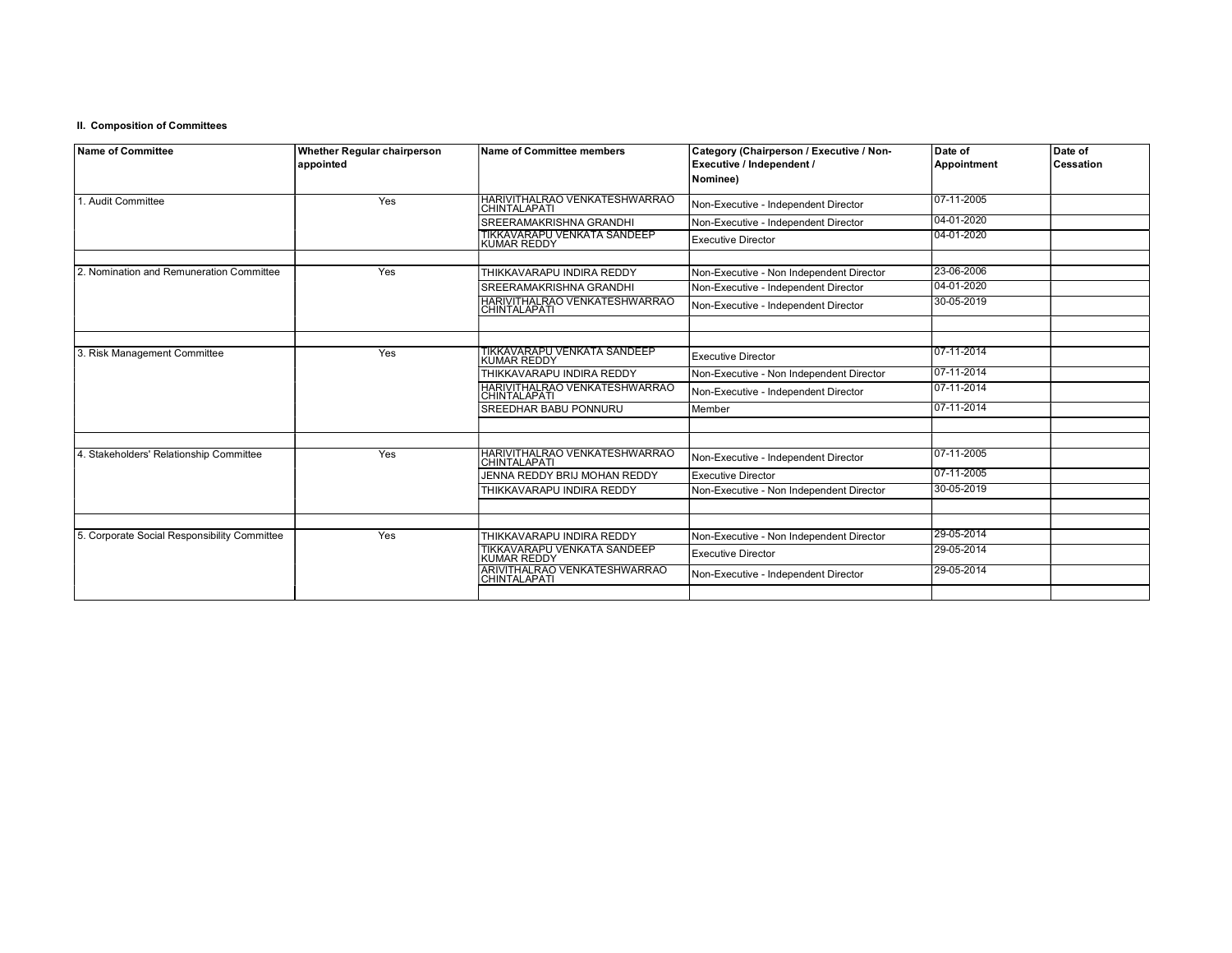### II. Composition of Committees

| Name of Committee                            | Whether Regular chairperson<br>appointed | <b>Name of Committee members</b>                     | Category (Chairperson / Executive / Non-<br>Executive / Independent / | Date of<br>Appointment | Date of<br><b>Cessation</b> |
|----------------------------------------------|------------------------------------------|------------------------------------------------------|-----------------------------------------------------------------------|------------------------|-----------------------------|
|                                              |                                          |                                                      | Nominee)                                                              |                        |                             |
| 1. Audit Committee                           | Yes                                      | HARIVITHALRAO VENKATESHWARRAO<br>CHINTALAPATI        | Non-Executive - Independent Director                                  | 107-11-2005            |                             |
|                                              |                                          | SREERAMAKRISHNA GRANDHI                              | Non-Executive - Independent Director                                  | 04-01-2020             |                             |
|                                              |                                          | TIKKAVARAPU VENKATA SANDEEP<br><b>KUMAR REDDY</b>    | <b>Executive Director</b>                                             | 04-01-2020             |                             |
|                                              |                                          |                                                      |                                                                       |                        |                             |
| 2. Nomination and Remuneration Committee     | Yes                                      | THIKKAVARAPU INDIRA REDDY                            | Non-Executive - Non Independent Director                              | 23-06-2006             |                             |
|                                              |                                          | SREERAMAKRISHNA GRANDHI                              | Non-Executive - Independent Director                                  | 04-01-2020             |                             |
|                                              |                                          | HARIVITHALRAO VENKATESHWARRAO<br><b>CHINTALAPATI</b> | Non-Executive - Independent Director                                  | 30-05-2019             |                             |
|                                              |                                          |                                                      |                                                                       |                        |                             |
| 3. Risk Management Committee                 | Yes                                      | TIKKAVARAPU VENKATA SANDEEP<br><b>KUMAR REDDY</b>    | <b>Executive Director</b>                                             | 07-11-2014             |                             |
|                                              |                                          | THIKKAVARAPU INDIRA REDDY                            | Non-Executive - Non Independent Director                              | 07-11-2014             |                             |
|                                              |                                          | HARIVITHALRAO VENKATESHWARRAO<br>CHINTALAPATI        | Non-Executive - Independent Director                                  | 107-11-2014            |                             |
|                                              |                                          | SREEDHAR BABU PONNURU                                | Member                                                                | 07-11-2014             |                             |
|                                              |                                          |                                                      |                                                                       |                        |                             |
| 4. Stakeholders' Relationship Committee      | Yes                                      | HARIVITHALRAO VENKATESHWARRAO<br>CHINTALAPATI        | Non-Executive - Independent Director                                  | 107-11-2005            |                             |
|                                              |                                          | JENNA REDDY BRIJ MOHAN REDDY                         | <b>Executive Director</b>                                             | 107-11-2005            |                             |
|                                              |                                          | THIKKAVARAPU INDIRA REDDY                            | Non-Executive - Non Independent Director                              | 30-05-2019             |                             |
|                                              |                                          |                                                      |                                                                       |                        |                             |
| 5. Corporate Social Responsibility Committee | Yes                                      | THIKKAVARAPU INDIRA REDDY                            | Non-Executive - Non Independent Director                              | 29-05-2014             |                             |
|                                              |                                          | TIKKAVARAPU VENKATA SANDEEP<br><b>KUMAR REDDY</b>    | <b>Executive Director</b>                                             | 29-05-2014             |                             |
|                                              |                                          | ARIVITHALRAO VENKATESHWARRAO<br>CHINTALAPATI         | Non-Executive - Independent Director                                  | 29-05-2014             |                             |
|                                              |                                          |                                                      |                                                                       |                        |                             |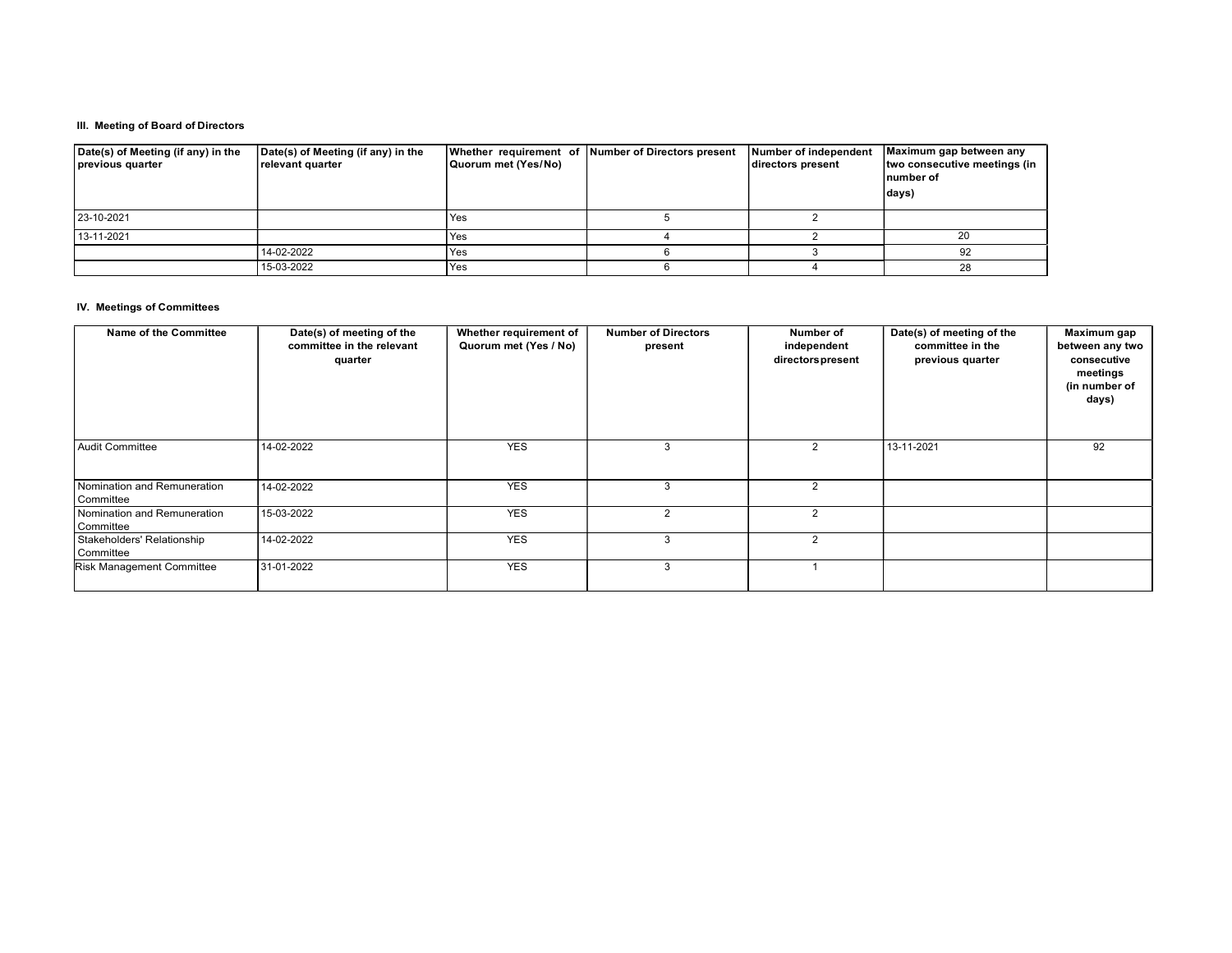### III. Meeting of Board of Directors

| Date(s) of Meeting (if any) in the<br>previous quarter | Date(s) of Meeting (if any) in the<br>relevant quarter | Quorum met (Yes/No) | Whether requirement of Number of Directors present | Number of independent<br>directors present | Maximum gap between any<br>two consecutive meetings (in<br>number of<br>days) |
|--------------------------------------------------------|--------------------------------------------------------|---------------------|----------------------------------------------------|--------------------------------------------|-------------------------------------------------------------------------------|
| 23-10-2021                                             |                                                        | Yes                 |                                                    |                                            |                                                                               |
| 13-11-2021                                             |                                                        | Yes                 |                                                    |                                            | 20                                                                            |
|                                                        | 14-02-2022                                             | Yes                 |                                                    |                                            | 92                                                                            |
|                                                        | 15-03-2022                                             | Yes                 |                                                    |                                            | 28                                                                            |

### IV. Meetings of Committees

| Name of the Committee                    | Date(s) of meeting of the<br>committee in the relevant<br>quarter | Whether requirement of<br>Quorum met (Yes / No) | <b>Number of Directors</b><br>present | Number of<br>independent<br>directors present | Date(s) of meeting of the<br>committee in the<br>previous quarter | Maximum gap<br>between any two<br>consecutive<br>meetings<br>(in number of<br>days) |
|------------------------------------------|-------------------------------------------------------------------|-------------------------------------------------|---------------------------------------|-----------------------------------------------|-------------------------------------------------------------------|-------------------------------------------------------------------------------------|
| Audit Committee                          | 14-02-2022                                                        | <b>YES</b>                                      |                                       |                                               | 13-11-2021                                                        | 92                                                                                  |
| Nomination and Remuneration<br>Committee | 14-02-2022                                                        | <b>YES</b>                                      |                                       | 2                                             |                                                                   |                                                                                     |
| Nomination and Remuneration<br>Committee | 15-03-2022                                                        | <b>YES</b>                                      | $\overline{2}$                        | $\mathcal{P}$                                 |                                                                   |                                                                                     |
| Stakeholders' Relationship<br>Committee  | 14-02-2022                                                        | <b>YES</b>                                      |                                       |                                               |                                                                   |                                                                                     |
| <b>Risk Management Committee</b>         | 31-01-2022                                                        | <b>YES</b>                                      |                                       |                                               |                                                                   |                                                                                     |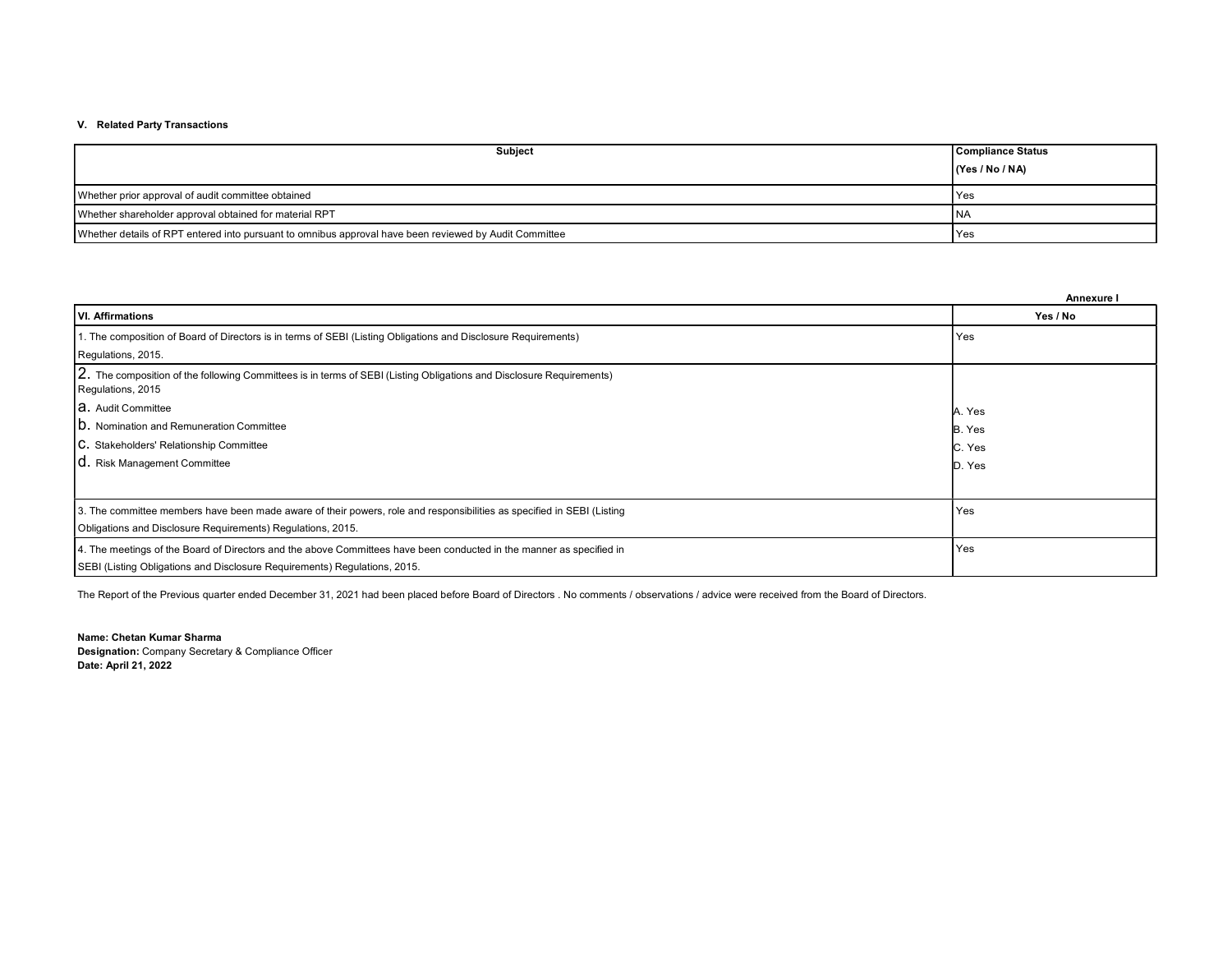## V. Related Party Transactions

| <b>Subject</b>                                                                                         | <b>Compliance Status</b> |
|--------------------------------------------------------------------------------------------------------|--------------------------|
|                                                                                                        | (Yes / No / NA)          |
| Whether prior approval of audit committee obtained                                                     | l Yes                    |
| Whether shareholder approval obtained for material RPT                                                 | <b>INA</b>               |
| Whether details of RPT entered into pursuant to omnibus approval have been reviewed by Audit Committee | Yes                      |

|                                                                                                                                           | Annexure I |
|-------------------------------------------------------------------------------------------------------------------------------------------|------------|
| VI. Affirmations                                                                                                                          | Yes / No   |
| 1. The composition of Board of Directors is in terms of SEBI (Listing Obligations and Disclosure Requirements)                            | Yes        |
| Regulations, 2015.                                                                                                                        |            |
| 2. The composition of the following Committees is in terms of SEBI (Listing Obligations and Disclosure Requirements)<br>Regulations, 2015 |            |
| <b>a.</b> Audit Committee                                                                                                                 | A. Yes     |
| <b>ID.</b> Nomination and Remuneration Committee                                                                                          | B. Yes     |
| C. Stakeholders' Relationship Committee                                                                                                   | C. Yes     |
| <b>C.</b> Risk Management Committee                                                                                                       | D. Yes     |
|                                                                                                                                           |            |
| 3. The committee members have been made aware of their powers, role and responsibilities as specified in SEBI (Listing                    | Yes        |
| Obligations and Disclosure Requirements) Regulations, 2015.                                                                               |            |
| 4. The meetings of the Board of Directors and the above Committees have been conducted in the manner as specified in                      | Yes        |
| SEBI (Listing Obligations and Disclosure Requirements) Regulations, 2015.                                                                 |            |

The Report of the Previous quarter ended December 31, 2021 had been placed before Board of Directors . No comments / observations / advice were received from the Board of Directors.

Name: Chetan Kumar Sharma Designation: Company Secretary & Compliance Officer Date: April 21, 2022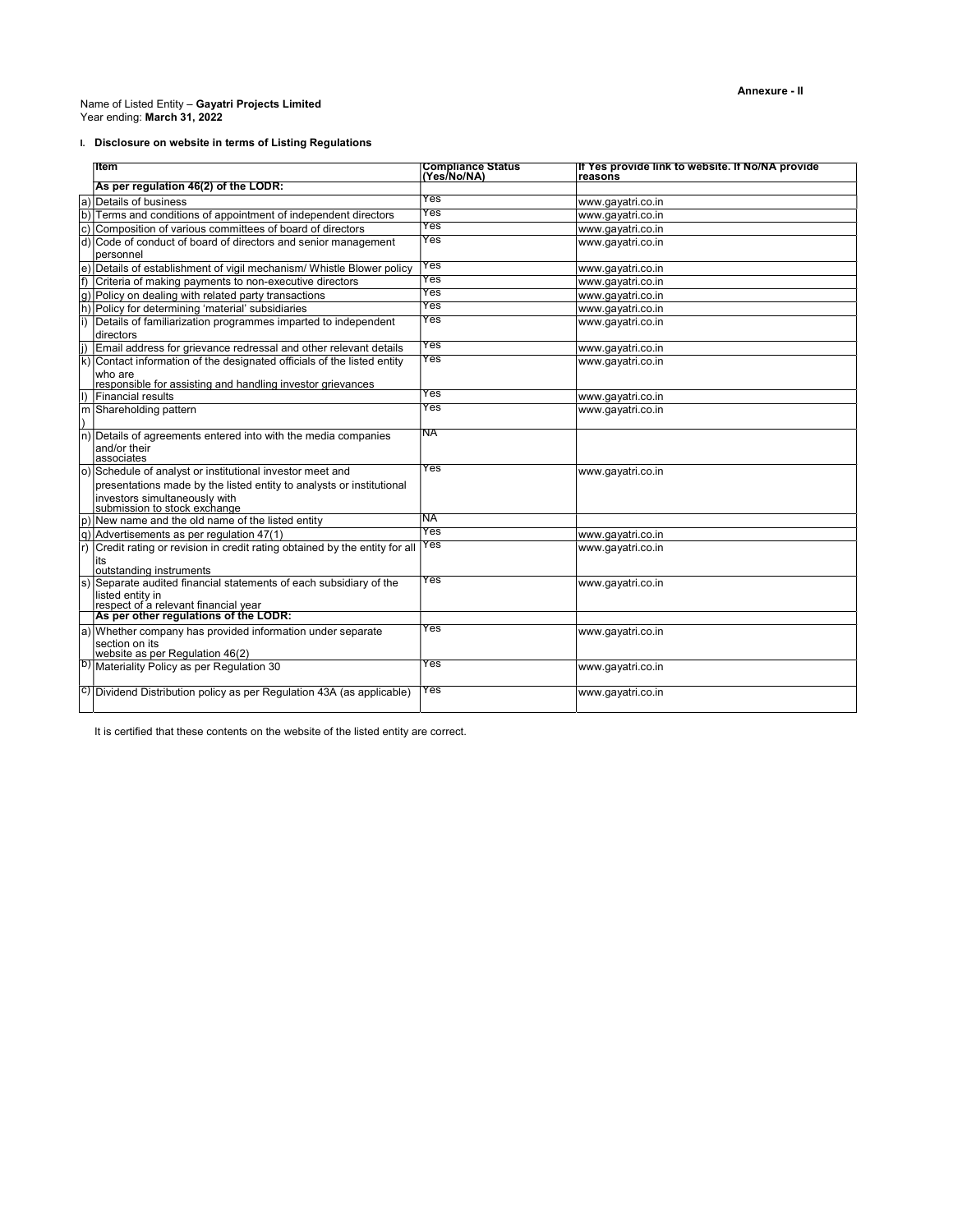#### Name of Listed Entity - Gayatri Projects Limited Year ending: March 31, 2022

# I. Disclosure on website in terms of Listing Regulations

|                  | ⊪ltem                                                                                  | <b>Compliance Status</b><br>(Yes/No/NA) | If Yes provide link to website. If No/NA provide<br>reasons |
|------------------|----------------------------------------------------------------------------------------|-----------------------------------------|-------------------------------------------------------------|
|                  | As per regulation 46(2) of the LODR:                                                   |                                         |                                                             |
|                  | a) Details of business                                                                 | Yes                                     | www.gayatri.co.in                                           |
|                  | b) Terms and conditions of appointment of independent directors                        | Yes                                     | www.gayatri.co.in                                           |
| lc)              | Composition of various committees of board of directors                                | Yes                                     | www.gayatri.co.in                                           |
|                  | d) Code of conduct of board of directors and senior management                         | Yes                                     | www.gayatri.co.in                                           |
|                  | personnel                                                                              |                                         |                                                             |
|                  | e) Details of establishment of vigil mechanism/ Whistle Blower policy                  | Yes                                     | www.gayatri.co.in                                           |
| f)               | Criteria of making payments to non-executive directors                                 | Yes                                     | www.qayatri.co.in                                           |
| lg)              | Policy on dealing with related party transactions                                      | Yes                                     | www.gayatri.co.in                                           |
|                  | h) Policy for determining 'material' subsidiaries                                      | Yes                                     | www.gayatri.co.in                                           |
| li)              | Details of familiarization programmes imparted to independent                          | Yes                                     | www.gayatri.co.in                                           |
|                  | directors                                                                              |                                         |                                                             |
| li)              | Email address for grievance redressal and other relevant details                       | Yes                                     | www.gayatri.co.in                                           |
|                  | k) Contact information of the designated officials of the listed entity                | Yes                                     | www.gayatri.co.in                                           |
|                  | who are                                                                                |                                         |                                                             |
|                  | responsible for assisting and handling investor grievances<br><b>Financial results</b> | Yes                                     |                                                             |
| lD.              |                                                                                        | Yes                                     | www.gayatri.co.in                                           |
|                  | m Shareholding pattern                                                                 |                                         | www.gayatri.co.in                                           |
| $\overline{\ln}$ | Details of agreements entered into with the media companies                            | NA                                      |                                                             |
|                  | and/or their                                                                           |                                         |                                                             |
|                  | associates                                                                             |                                         |                                                             |
|                  | o) Schedule of analyst or institutional investor meet and                              | Yes                                     | www.qayatri.co.in                                           |
|                  | presentations made by the listed entity to analysts or institutional                   |                                         |                                                             |
|                  | investors simultaneously with<br>submission to stock exchange                          |                                         |                                                             |
|                  |                                                                                        |                                         |                                                             |
|                  | $ p $ New name and the old name of the listed entity                                   | ΝA                                      |                                                             |
|                  | (q) Advertisements as per regulation 47(1)                                             | Yes                                     | www.gayatri.co.in                                           |
| r)               | Credit rating or revision in credit rating obtained by the entity for all              | es/                                     | www.gayatri.co.in                                           |
|                  | its<br>loutstanding instruments                                                        |                                         |                                                             |
| ls)              | Separate audited financial statements of each subsidiary of the                        | Yes                                     | www.gayatri.co.in                                           |
|                  | listed entity in                                                                       |                                         |                                                             |
|                  | respect of a relevant financial year<br>As per other regulations of the LODR:          |                                         |                                                             |
|                  |                                                                                        |                                         |                                                             |
|                  | a) Whether company has provided information under separate                             | Yes                                     | www.gayatri.co.in                                           |
|                  | section on its                                                                         |                                         |                                                             |
|                  | website as per Regulation 46(2)                                                        | Yes                                     |                                                             |
|                  | <sup>b)</sup> Materiality Policy as per Regulation 30                                  |                                         | www.gayatri.co.in                                           |
|                  |                                                                                        | Yes                                     |                                                             |
|                  | C) Dividend Distribution policy as per Regulation 43A (as applicable)                  |                                         | www.gayatri.co.in                                           |
|                  |                                                                                        |                                         |                                                             |

It is certified that these contents on the website of the listed entity are correct.